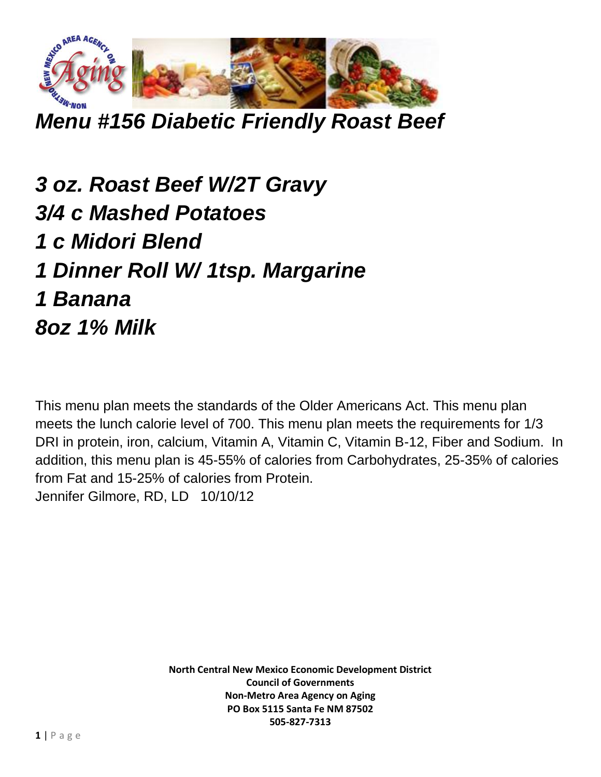

*Menu #156 Diabetic Friendly Roast Beef*

*3 oz. Roast Beef W/2T Gravy 3/4 c Mashed Potatoes 1 c Midori Blend 1 Dinner Roll W/ 1tsp. Margarine 1 Banana 8oz 1% Milk*

This menu plan meets the standards of the Older Americans Act. This menu plan meets the lunch calorie level of 700. This menu plan meets the requirements for 1/3 DRI in protein, iron, calcium, Vitamin A, Vitamin C, Vitamin B-12, Fiber and Sodium. In addition, this menu plan is 45-55% of calories from Carbohydrates, 25-35% of calories from Fat and 15-25% of calories from Protein. Jennifer Gilmore, RD, LD 10/10/12

> **North Central New Mexico Economic Development District Council of Governments Non-Metro Area Agency on Aging PO Box 5115 Santa Fe NM 87502 505-827-7313**